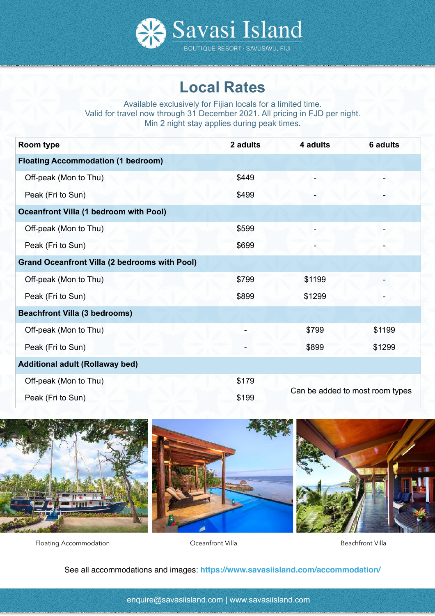

# **Local Rates**

Available exclusively for Fijian locals for a limited time. Valid for travel now through 31 December 2021. All pricing in FJD per night. Min 2 night stay applies during peak times.

| Room type                                            | 2 adults | 4 adults                        | 6 adults |
|------------------------------------------------------|----------|---------------------------------|----------|
| <b>Floating Accommodation (1 bedroom)</b>            |          |                                 |          |
| Off-peak (Mon to Thu)                                | \$449    |                                 |          |
| Peak (Fri to Sun)                                    | \$499    |                                 |          |
| <b>Oceanfront Villa (1 bedroom with Pool)</b>        |          |                                 |          |
| Off-peak (Mon to Thu)                                | \$599    |                                 |          |
| Peak (Fri to Sun)                                    | \$699    |                                 |          |
| <b>Grand Oceanfront Villa (2 bedrooms with Pool)</b> |          |                                 |          |
| Off-peak (Mon to Thu)                                | \$799    | \$1199                          |          |
| Peak (Fri to Sun)                                    | \$899    | \$1299                          |          |
| <b>Beachfront Villa (3 bedrooms)</b>                 |          |                                 |          |
| Off-peak (Mon to Thu)                                |          | \$799                           | \$1199   |
| Peak (Fri to Sun)                                    |          | \$899                           | \$1299   |
| <b>Additional adult (Rollaway bed)</b>               |          |                                 |          |
| Off-peak (Mon to Thu)                                | \$179    |                                 |          |
| Peak (Fri to Sun)                                    | \$199    | Can be added to most room types |          |



Floating Accommodation and Coeanfront Villa Coeanfront Villa Beachfront Villa

See all accommodations and images: **https://www.savasiisland.com/accommodation/**

[enquire@savasiisland.com](mailto:enquire@savasiisland.com) | www.savasiisland.com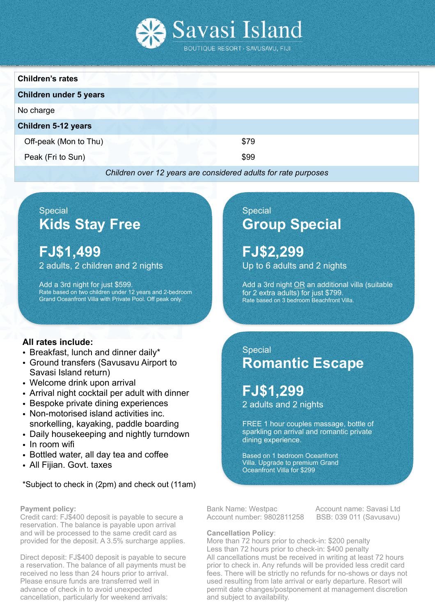

| <b>Children's rates</b>       |      |  |
|-------------------------------|------|--|
| <b>Children under 5 years</b> |      |  |
| No charge                     |      |  |
| <b>Children 5-12 years</b>    |      |  |
| Off-peak (Mon to Thu)         | \$79 |  |
| Peak (Fri to Sun)             | \$99 |  |
|                               |      |  |

#### *Children over 12 years are considered adults for rate purposes*

# **Special Kids Stay Free**

**FJ\$1,499**  2 adults, 2 children and 2 nights

Add a 3rd night for just \$599. Rate based on two children under 12 years and 2-bedroom Grand Oceanfront Villa with Private Pool. Off peak only.

## **All rates include:**

- Breakfast, lunch and dinner daily\*
- Ground transfers (Savusavu Airport to Savasi Island return)
- Welcome drink upon arrival
- Arrival night cocktail per adult with dinner
- Bespoke private dining experiences
- Non-motorised island activities inc. snorkelling, kayaking, paddle boarding
- Daily housekeeping and nightly turndown
- In room wifi
- Bottled water, all day tea and coffee
- All Fijian. Govt. taxes

## \*Subject to check in (2pm) and check out (11am)

#### **Payment policy:**

Credit card: FJ\$400 deposit is payable to secure a reservation. The balance is payable upon arrival and will be processed to the same credit card as provided for the deposit. A 3.5% surcharge applies.

Direct deposit: FJ\$400 deposit is payable to secure a reservation. The balance of all payments must be received no less than 24 hours prior to arrival. Please ensure funds are transferred well in advance of check in to avoid unexpected cancellation, particularly for weekend arrivals:

# **Special Group Special**

**FJ\$2,299**  Up to 6 adults and 2 nights

Add a 3rd night OR an additional villa (suitable for 2 extra adults) for just \$799. Rate based on 3 bedroom Beachfront Villa.

## **Special Romantic Escape**

**FJ\$1,299**  2 adults and 2 nights

FREE 1 hour couples massage, bottle of sparkling on arrival and romantic private dining experience.

Based on 1 bedroom Oceanfront Villa. Upgrade to premium Grand Oceanfront Villa for \$299

Bank Name: Westpac **Account name: Savasi Ltd** Account number: 9802811258 BSB: 039 011 (Savusavu)

#### **Cancellation Policy**:

More than 72 hours prior to check-in: \$200 penalty Less than 72 hours prior to check-in: \$400 penalty All cancellations must be received in writing at least 72 hours prior to check in. Any refunds will be provided less credit card fees. There will be strictly no refunds for no-shows or days not used resulting from late arrival or early departure. Resort will permit date changes/postponement at management discretion and subject to availability.